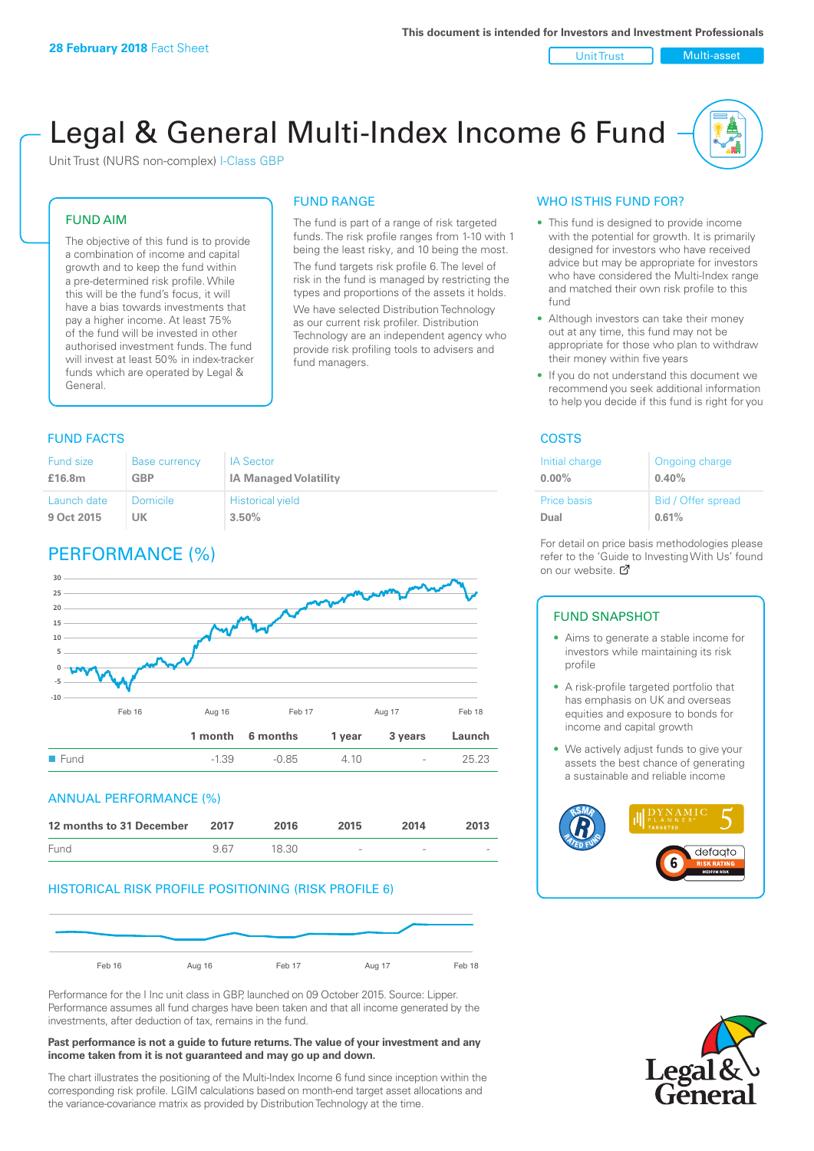Unit Trust | Multi-asset

# Legal & General Multi-Index Income 6 Fund

Unit Trust (NURS non-complex) I-Class GBP

#### FUND AIM

The objective of this fund is to provide a combination of income and capital growth and to keep the fund within a pre-determined risk profile. While this will be the fund's focus, it will have a bias towards investments that pay a higher income. At least 75% of the fund will be invested in other authorised investment funds. The fund will invest at least 50% in index-tracker funds which are operated by Legal & General.

#### The fund is part of a range of risk targeted

FUND RANGE

funds. The risk profile ranges from 1-10 with 1 being the least risky, and 10 being the most. The fund targets risk profile 6. The level of risk in the fund is managed by restricting the

types and proportions of the assets it holds. We have selected Distribution Technology as our current risk profiler. Distribution Technology are an independent agency who provide risk profiling tools to advisers and fund managers.

#### **FUND FACTS** COSTS

| Fund size   | <b>Base currency</b> | <b>IA Sector</b>             |
|-------------|----------------------|------------------------------|
| £16.8m      | GBP                  | <b>IA Managed Volatility</b> |
| Launch date | Domicile             | <b>Historical yield</b>      |
| 9 Oct 2015  | UK                   | 3.50%                        |

# PERFORMANCE (%)



#### ANNUAL PERFORMANCE (%)

| 12 months to 31 December | 2017 | 2016  | 2015   | 2014   | 2013 |
|--------------------------|------|-------|--------|--------|------|
| Fund                     | 967  | 18.30 | $\sim$ | $\sim$ |      |

#### HISTORICAL RISK PROFILE POSITIONING (RISK PROFILE 6)



Performance for the I Inc unit class in GBP, launched on 09 October 2015. Source: Lipper. Performance assumes all fund charges have been taken and that all income generated by the investments, after deduction of tax, remains in the fund.

#### **Past performance is not a guide to future returns. The value of your investment and any income taken from it is not guaranteed and may go up and down.**

The chart illustrates the positioning of the Multi-Index Income 6 fund since inception within the corresponding risk profile. LGIM calculations based on month-end target asset allocations and the variance-covariance matrix as provided by Distribution Technology at the time.

#### WHO IS THIS FUND FOR?

- This fund is designed to provide income with the potential for growth. It is primarily designed for investors who have received advice but may be appropriate for investors who have considered the Multi-Index range and matched their own risk profile to this fund
- Although investors can take their money out at any time, this fund may not be appropriate for those who plan to withdraw their money within five years
- If you do not understand this document we recommend you seek additional information to help you decide if this fund is right for you

| Initial charge | Ongoing charge     |
|----------------|--------------------|
| $0.00\%$       | 0.40%              |
| Price basis    | Bid / Offer spread |
| Dual           | 0.61%              |

For detail on price basis methodologies please refer to the 'Gu[ide t](http://www.legalandgeneral.com/guide)o Investing With Us' found on our website. Ø

#### FUND SNAPSHOT

- Aims to generate a stable income for investors while maintaining its risk profile
- A risk-profile targeted portfolio that has emphasis on UK and overseas equities and exposure to bonds for income and capital growth
- We actively adjust funds to give your assets the best chance of generating a sustainable and reliable income



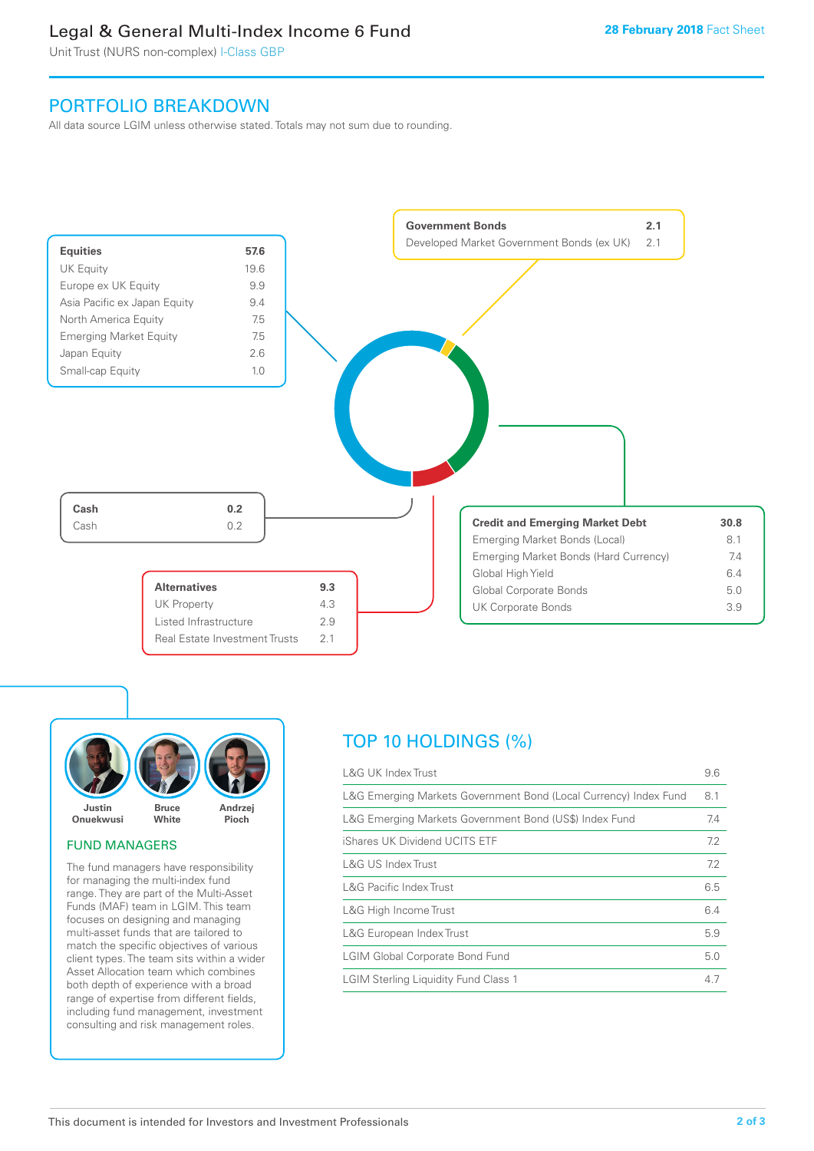# Legal & General Multi-Index Income 6 Fund

Unit Trust (NURS non-complex) I-Class GBP

## PORTFOLIO BREAKDOWN

All data source LGIM unless otherwise stated. Totals may not sum due to rounding.





#### FUND MANAGERS

The fund managers have responsibility for managing the multi-index fund range. They are part of the Multi-Asset Funds (MAF) team in LGIM. This team focuses on designing and managing multi-asset funds that are tailored to match the specific objectives of various client types. The team sits within a wider Asset Allocation team which combines both depth of experience with a broad range of expertise from different fields, including fund management, investment consulting and risk management roles.

# TOP 10 HOLDINGS (%)

| <b>L&amp;G UK Index Trust</b>                                    | 9.6 |
|------------------------------------------------------------------|-----|
| L&G Emerging Markets Government Bond (Local Currency) Index Fund | 8.1 |
| L&G Emerging Markets Government Bond (US\$) Index Fund           | 7.4 |
| iShares UK Dividend UCITS ETF                                    | 7.2 |
| L&G US Index Trust                                               | 7.2 |
| <b>L&amp;G Pacific Index Trust</b>                               | 6.5 |
| L&G High Income Trust                                            | 6.4 |
| L&G European Index Trust                                         | 5.9 |
| <b>LGIM Global Corporate Bond Fund</b>                           | 5.0 |
| <b>LGIM Sterling Liquidity Fund Class 1</b>                      | 4.7 |